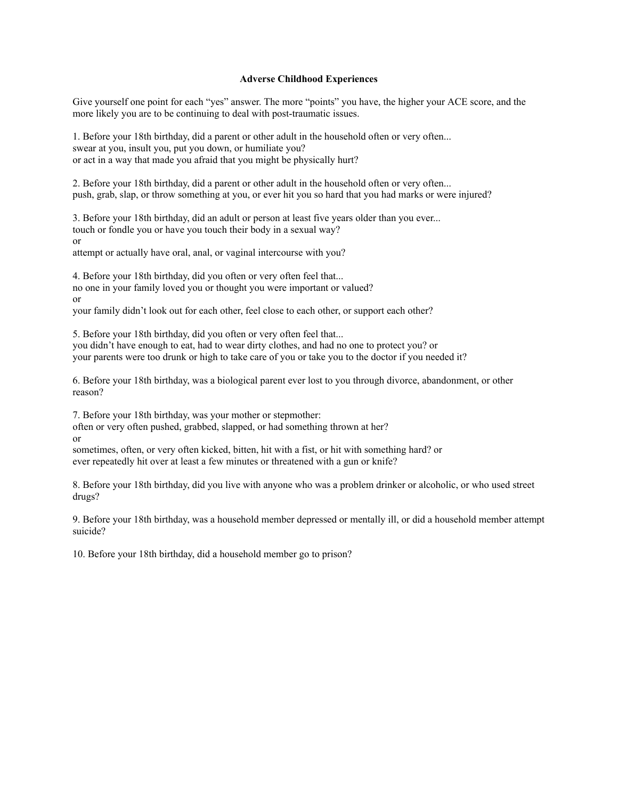#### **Adverse Childhood Experiences**

Give yourself one point for each "yes" answer. The more "points" you have, the higher your ACE score, and the more likely you are to be continuing to deal with post-traumatic issues.

1. Before your 18th birthday, did a parent or other adult in the household often or very often... swear at you, insult you, put you down, or humiliate you? or act in a way that made you afraid that you might be physically hurt?

2. Before your 18th birthday, did a parent or other adult in the household often or very often... push, grab, slap, or throw something at you, or ever hit you so hard that you had marks or were injured?

3. Before your 18th birthday, did an adult or person at least five years older than you ever... touch or fondle you or have you touch their body in a sexual way?

or

attempt or actually have oral, anal, or vaginal intercourse with you?

4. Before your 18th birthday, did you often or very often feel that... no one in your family loved you or thought you were important or valued? or

your family didn't look out for each other, feel close to each other, or support each other?

5. Before your 18th birthday, did you often or very often feel that...

you didn't have enough to eat, had to wear dirty clothes, and had no one to protect you? or your parents were too drunk or high to take care of you or take you to the doctor if you needed it?

6. Before your 18th birthday, was a biological parent ever lost to you through divorce, abandonment, or other reason?

7. Before your 18th birthday, was your mother or stepmother:

often or very often pushed, grabbed, slapped, or had something thrown at her?

or

sometimes, often, or very often kicked, bitten, hit with a fist, or hit with something hard? or ever repeatedly hit over at least a few minutes or threatened with a gun or knife?

8. Before your 18th birthday, did you live with anyone who was a problem drinker or alcoholic, or who used street drugs?

9. Before your 18th birthday, was a household member depressed or mentally ill, or did a household member attempt suicide?

10. Before your 18th birthday, did a household member go to prison?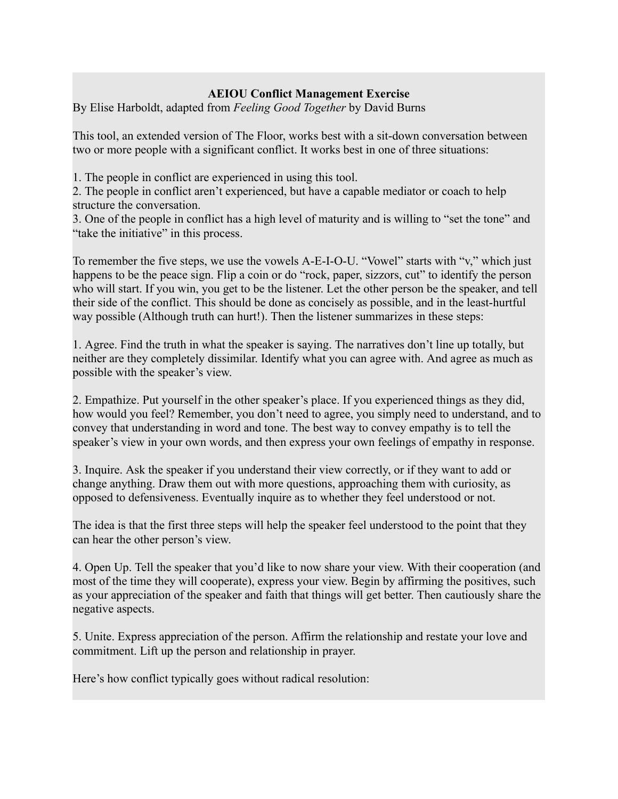### **AEIOU Conflict Management Exercise**

By Elise Harboldt, adapted from *Feeling Good Together* by David Burns

This tool, an extended version of The Floor, works best with a sit-down conversation between two or more people with a significant conflict. It works best in one of three situations:

1. The people in conflict are experienced in using this tool.

2. The people in conflict aren't experienced, but have a capable mediator or coach to help structure the conversation.

3. One of the people in conflict has a high level of maturity and is willing to "set the tone" and "take the initiative" in this process.

To remember the five steps, we use the vowels A-E-I-O-U. "Vowel" starts with "v," which just happens to be the peace sign. Flip a coin or do "rock, paper, sizzors, cut" to identify the person who will start. If you win, you get to be the listener. Let the other person be the speaker, and tell their side of the conflict. This should be done as concisely as possible, and in the least-hurtful way possible (Although truth can hurt!). Then the listener summarizes in these steps:

1. Agree. Find the truth in what the speaker is saying. The narratives don't line up totally, but neither are they completely dissimilar. Identify what you can agree with. And agree as much as possible with the speaker's view.

2. Empathize. Put yourself in the other speaker's place. If you experienced things as they did, how would you feel? Remember, you don't need to agree, you simply need to understand, and to convey that understanding in word and tone. The best way to convey empathy is to tell the speaker's view in your own words, and then express your own feelings of empathy in response.

3. Inquire. Ask the speaker if you understand their view correctly, or if they want to add or change anything. Draw them out with more questions, approaching them with curiosity, as opposed to defensiveness. Eventually inquire as to whether they feel understood or not.

The idea is that the first three steps will help the speaker feel understood to the point that they can hear the other person's view.

4. Open Up. Tell the speaker that you'd like to now share your view. With their cooperation (and most of the time they will cooperate), express your view. Begin by affirming the positives, such as your appreciation of the speaker and faith that things will get better. Then cautiously share the negative aspects.

5. Unite. Express appreciation of the person. Affirm the relationship and restate your love and commitment. Lift up the person and relationship in prayer.

Here's how conflict typically goes without radical resolution: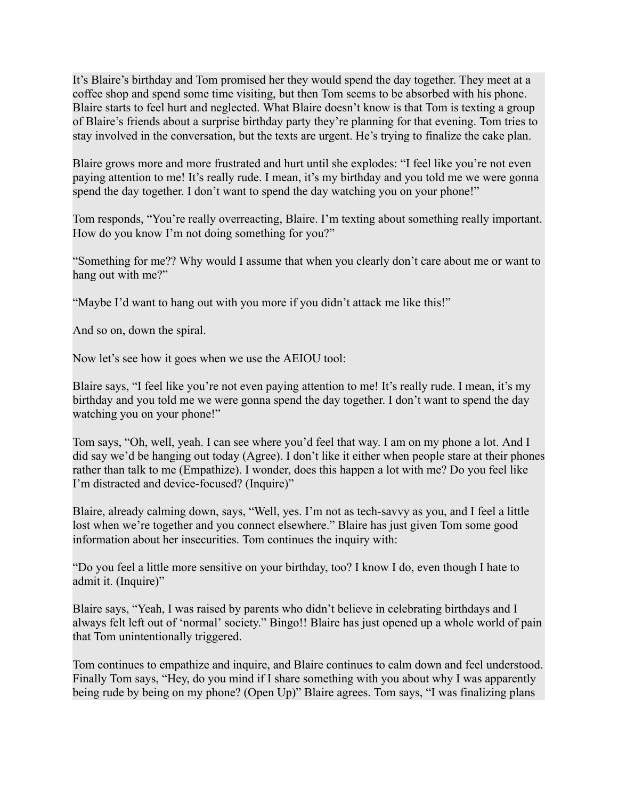It's Blaire's birthday and Tom promised her they would spend the day together. They meet at a coffee shop and spend some time visiting, but then Tom seems to be absorbed with his phone. Blaire starts to feel hurt and neglected. What Blaire doesn't know is that Tom is texting a group of Blaire's friends about a surprise birthday party they're planning for that evening. Tom tries to stay involved in the conversation, but the texts are urgent. He's trying to finalize the cake plan.

Blaire grows more and more frustrated and hurt until she explodes: "I feel like you're not even paying attention to me! It's really rude. I mean, it's my birthday and you told me we were gonna spend the day together. I don't want to spend the day watching you on your phone!"

Tom responds, "You're really overreacting, Blaire. I'm texting about something really important. How do you know I'm not doing something for you?"

"Something for me?? Why would I assume that when you clearly don't care about me or want to hang out with me?"

"Maybe I'd want to hang out with you more if you didn't attack me like this!"

And so on, down the spiral.

Now let's see how it goes when we use the AEIOU tool:

Blaire says, "I feel like you're not even paying attention to me! It's really rude. I mean, it's my birthday and you told me we were gonna spend the day together. I don't want to spend the day watching you on your phone!"

Tom says, "Oh, well, yeah. I can see where you'd feel that way. I am on my phone a lot. And I did say we'd be hanging out today (Agree). I don't like it either when people stare at their phones rather than talk to me (Empathize). I wonder, does this happen a lot with me? Do you feel like I'm distracted and device-focused? (Inquire)"

Blaire, already calming down, says, "Well, yes. I'm not as tech-savvy as you, and I feel a little lost when we're together and you connect elsewhere." Blaire has just given Tom some good information about her insecurities. Tom continues the inquiry with:

"Do you feel a little more sensitive on your birthday, too? I know I do, even though I hate to admit it. (Inquire)"

Blaire says, "Yeah, I was raised by parents who didn't believe in celebrating birthdays and I always felt left out of 'normal' society." Bingo!! Blaire has just opened up a whole world of pain that Tom unintentionally triggered.

Tom continues to empathize and inquire, and Blaire continues to calm down and feel understood. Finally Tom says, "Hey, do you mind if I share something with you about why I was apparently being rude by being on my phone? (Open Up)" Blaire agrees. Tom says, "I was finalizing plans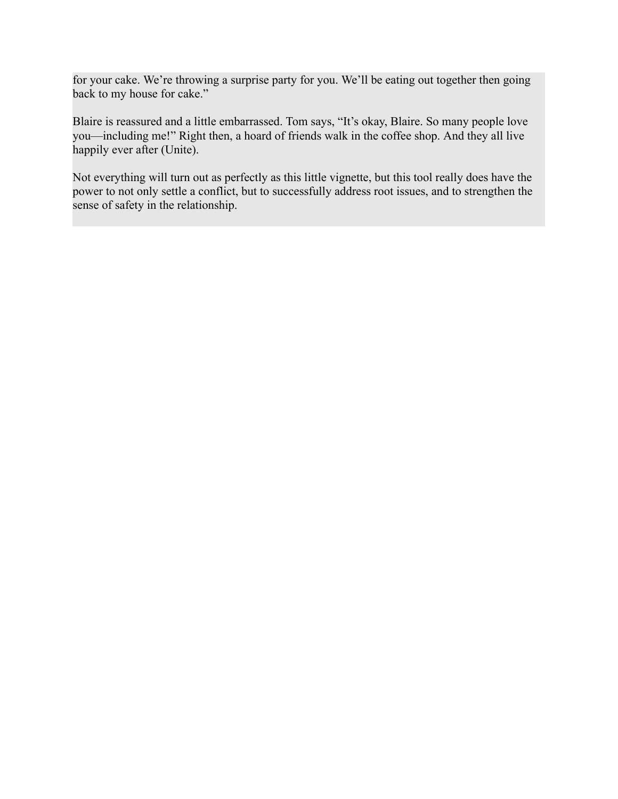for your cake. We're throwing a surprise party for you. We'll be eating out together then going back to my house for cake."

Blaire is reassured and a little embarrassed. Tom says, "It's okay, Blaire. So many people love you—including me!" Right then, a hoard of friends walk in the coffee shop. And they all live happily ever after (Unite).

Not everything will turn out as perfectly as this little vignette, but this tool really does have the power to not only settle a conflict, but to successfully address root issues, and to strengthen the sense of safety in the relationship.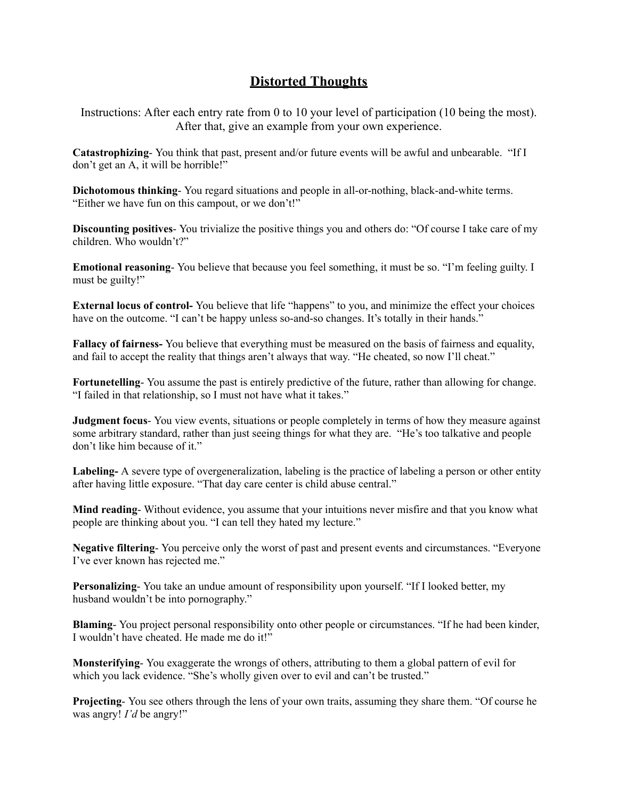# **Distorted Thoughts**

Instructions: After each entry rate from 0 to 10 your level of participation (10 being the most). After that, give an example from your own experience.

**Catastrophizing**- You think that past, present and/or future events will be awful and unbearable. "If I don't get an A, it will be horrible!"

**Dichotomous thinking**- You regard situations and people in all-or-nothing, black-and-white terms. "Either we have fun on this campout, or we don't!"

**Discounting positives**- You trivialize the positive things you and others do: "Of course I take care of my children. Who wouldn't?"

**Emotional reasoning**- You believe that because you feel something, it must be so. "I'm feeling guilty. I must be guilty!"

**External locus of control-** You believe that life "happens" to you, and minimize the effect your choices have on the outcome. "I can't be happy unless so-and-so changes. It's totally in their hands."

**Fallacy of fairness-** You believe that everything must be measured on the basis of fairness and equality, and fail to accept the reality that things aren't always that way. "He cheated, so now I'll cheat."

**Fortunetelling**- You assume the past is entirely predictive of the future, rather than allowing for change. "I failed in that relationship, so I must not have what it takes."

**Judgment focus**- You view events, situations or people completely in terms of how they measure against some arbitrary standard, rather than just seeing things for what they are. "He's too talkative and people don't like him because of it."

**Labeling-** A severe type of overgeneralization, labeling is the practice of labeling a person or other entity after having little exposure. "That day care center is child abuse central."

**Mind reading**- Without evidence, you assume that your intuitions never misfire and that you know what people are thinking about you. "I can tell they hated my lecture."

**Negative filtering**- You perceive only the worst of past and present events and circumstances. "Everyone I've ever known has rejected me."

**Personalizing**- You take an undue amount of responsibility upon yourself. "If I looked better, my husband wouldn't be into pornography."

**Blaming**- You project personal responsibility onto other people or circumstances. "If he had been kinder, I wouldn't have cheated. He made me do it!"

**Monsterifying**- You exaggerate the wrongs of others, attributing to them a global pattern of evil for which you lack evidence. "She's wholly given over to evil and can't be trusted."

**Projecting**- You see others through the lens of your own traits, assuming they share them. "Of course he was angry! *I'd* be angry!"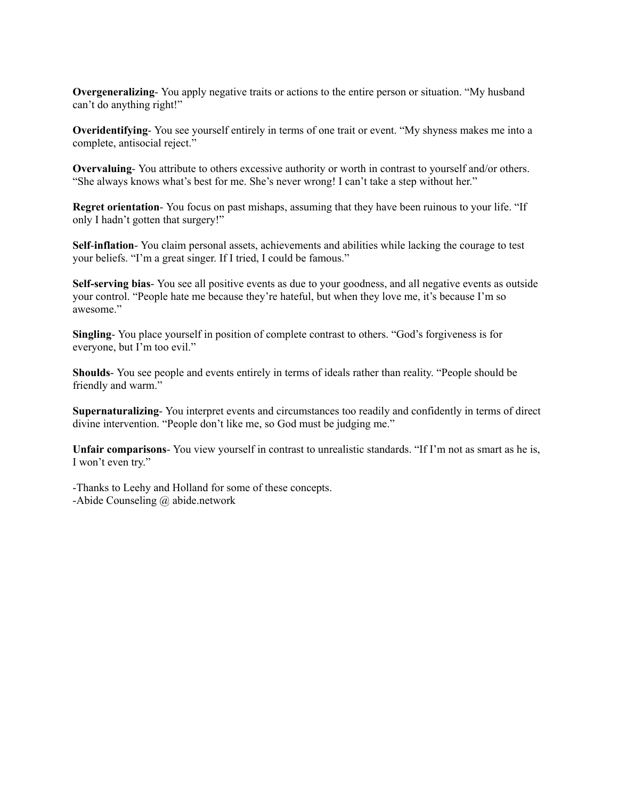**Overgeneralizing**- You apply negative traits or actions to the entire person or situation. "My husband can't do anything right!"

**Overidentifying**- You see yourself entirely in terms of one trait or event. "My shyness makes me into a complete, antisocial reject."

**Overvaluing**- You attribute to others excessive authority or worth in contrast to yourself and/or others. "She always knows what's best for me. She's never wrong! I can't take a step without her."

**Regret orientation**- You focus on past mishaps, assuming that they have been ruinous to your life. "If only I hadn't gotten that surgery!"

**Self**-**inflation**- You claim personal assets, achievements and abilities while lacking the courage to test your beliefs. "I'm a great singer. If I tried, I could be famous."

**Self-serving bias**- You see all positive events as due to your goodness, and all negative events as outside your control. "People hate me because they're hateful, but when they love me, it's because I'm so awesome."

**Singling**- You place yourself in position of complete contrast to others. "God's forgiveness is for everyone, but I'm too evil."

**Shoulds**- You see people and events entirely in terms of ideals rather than reality. "People should be friendly and warm."

**Supernaturalizing**- You interpret events and circumstances too readily and confidently in terms of direct divine intervention. "People don't like me, so God must be judging me."

**Unfair comparisons**- You view yourself in contrast to unrealistic standards. "If I'm not as smart as he is, I won't even try."

-Thanks to Leehy and Holland for some of these concepts. -Abide Counseling @ abide.network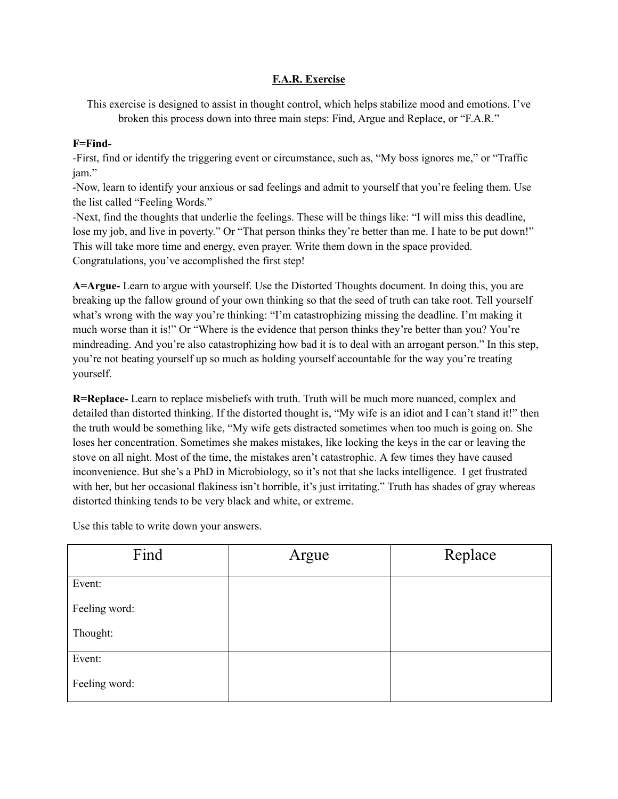### **F.A.R. Exercise**

This exercise is designed to assist in thought control, which helps stabilize mood and emotions. I've broken this process down into three main steps: Find, Argue and Replace, or "F.A.R."

#### **F=Find-**

-First, find or identify the triggering event or circumstance, such as, "My boss ignores me," or "Traffic jam."

-Now, learn to identify your anxious or sad feelings and admit to yourself that you're feeling them. Use the list called "Feeling Words."

-Next, find the thoughts that underlie the feelings. These will be things like: "I will miss this deadline, lose my job, and live in poverty." Or "That person thinks they're better than me. I hate to be put down!" This will take more time and energy, even prayer. Write them down in the space provided. Congratulations, you've accomplished the first step!

**A=Argue-** Learn to argue with yourself. Use the Distorted Thoughts document. In doing this, you are breaking up the fallow ground of your own thinking so that the seed of truth can take root. Tell yourself what's wrong with the way you're thinking: "I'm catastrophizing missing the deadline. I'm making it much worse than it is!" Or "Where is the evidence that person thinks they're better than you? You're mindreading. And you're also catastrophizing how bad it is to deal with an arrogant person." In this step, you're not beating yourself up so much as holding yourself accountable for the way you're treating yourself.

**R=Replace-** Learn to replace misbeliefs with truth. Truth will be much more nuanced, complex and detailed than distorted thinking. If the distorted thought is, "My wife is an idiot and I can't stand it!" then the truth would be something like, "My wife gets distracted sometimes when too much is going on. She loses her concentration. Sometimes she makes mistakes, like locking the keys in the car or leaving the stove on all night. Most of the time, the mistakes aren't catastrophic. A few times they have caused inconvenience. But she's a PhD in Microbiology, so it's not that she lacks intelligence. I get frustrated with her, but her occasional flakiness isn't horrible, it's just irritating." Truth has shades of gray whereas distorted thinking tends to be very black and white, or extreme.

| Find          | Argue | Replace |
|---------------|-------|---------|
| Event:        |       |         |
| Feeling word: |       |         |
| Thought:      |       |         |
| Event:        |       |         |
| Feeling word: |       |         |

Use this table to write down your answers.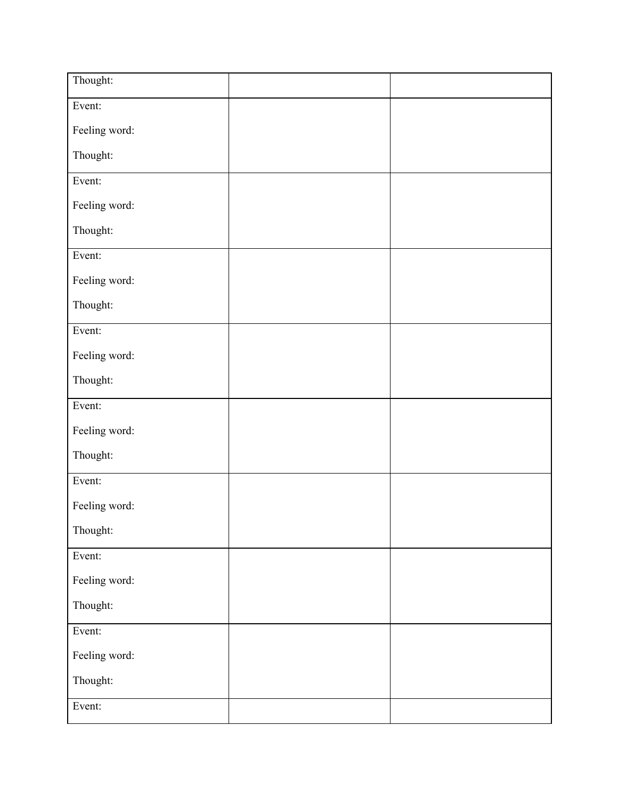| Thought:      |  |
|---------------|--|
| Event:        |  |
| Feeling word: |  |
| Thought:      |  |
| Event:        |  |
| Feeling word: |  |
| Thought:      |  |
| Event:        |  |
| Feeling word: |  |
| Thought:      |  |
| Event:        |  |
| Feeling word: |  |
| Thought:      |  |
| Event:        |  |
| Feeling word: |  |
| Thought:      |  |
| Event:        |  |
| Feeling word: |  |
| Thought:      |  |
| Event:        |  |
| Feeling word: |  |
| Thought:      |  |
| Event:        |  |
| Feeling word: |  |
| Thought:      |  |
| Event:        |  |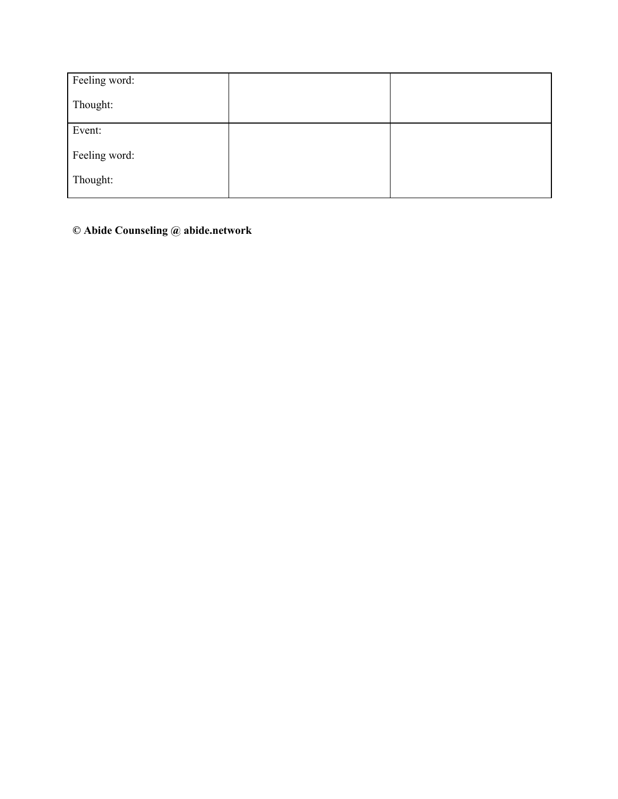| Feeling word: |  |
|---------------|--|
| Thought:      |  |
| Event:        |  |
| Feeling word: |  |
| Thought:      |  |

**© Abide Counseling @ abide.network**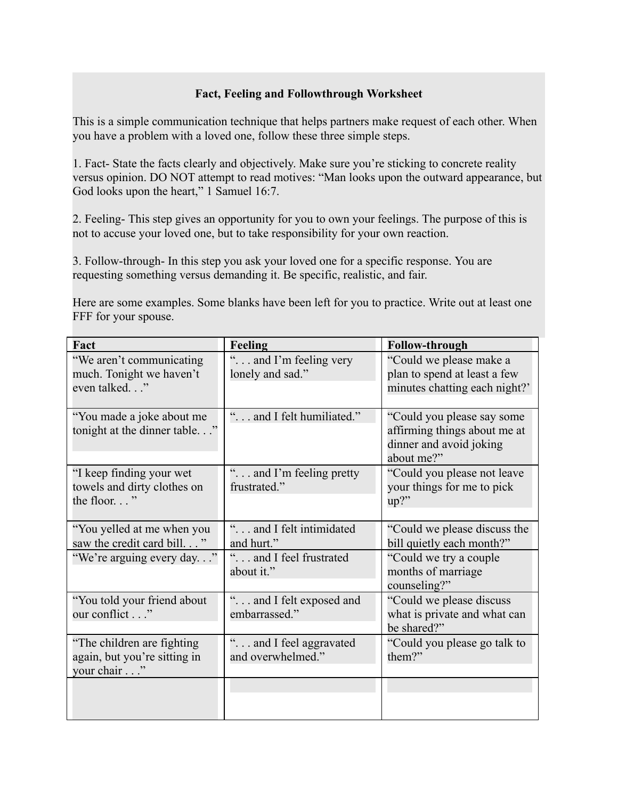### **Fact, Feeling and Followthrough Worksheet**

This is a simple communication technique that helps partners make request of each other. When you have a problem with a loved one, follow these three simple steps.

1. Fact- State the facts clearly and objectively. Make sure you're sticking to concrete reality versus opinion. DO NOT attempt to read motives: "Man looks upon the outward appearance, but God looks upon the heart," 1 Samuel 16:7.

2. Feeling- This step gives an opportunity for you to own your feelings. The purpose of this is not to accuse your loved one, but to take responsibility for your own reaction.

3. Follow-through- In this step you ask your loved one for a specific response. You are requesting something versus demanding it. Be specific, realistic, and fair.

Here are some examples. Some blanks have been left for you to practice. Write out at least one FFF for your spouse.

| Fact                                                                       | <b>Feeling</b>                               | <b>Follow-through</b>                                                                               |
|----------------------------------------------------------------------------|----------------------------------------------|-----------------------------------------------------------------------------------------------------|
| "We aren't communicating<br>much. Tonight we haven't<br>even talked."      | " and I'm feeling very<br>lonely and sad."   | "Could we please make a<br>plan to spend at least a few<br>minutes chatting each night?'            |
| "You made a joke about me<br>tonight at the dinner table"                  | " and I felt humiliated."                    | "Could you please say some<br>affirming things about me at<br>dinner and avoid joking<br>about me?" |
| "I keep finding your wet<br>towels and dirty clothes on<br>the floor"      | " and I'm feeling pretty<br>frustrated."     | "Could you please not leave<br>your things for me to pick<br>$up?$ "                                |
| "You yelled at me when you<br>saw the credit card bill"                    | " and I felt intimidated<br>and hurt."       | "Could we please discuss the<br>bill quietly each month?"                                           |
| "We're arguing every day"                                                  | " and I feel frustrated<br>about it."        | "Could we try a couple"<br>months of marriage<br>counseling?"                                       |
| "You told your friend about<br>our conflict"                               | " and I felt exposed and<br>embarrassed."    | "Could we please discuss<br>what is private and what can<br>be shared?"                             |
| "The children are fighting"<br>again, but you're sitting in<br>your chair" | " and I feel aggravated<br>and overwhelmed." | "Could you please go talk to<br>them?"                                                              |
|                                                                            |                                              |                                                                                                     |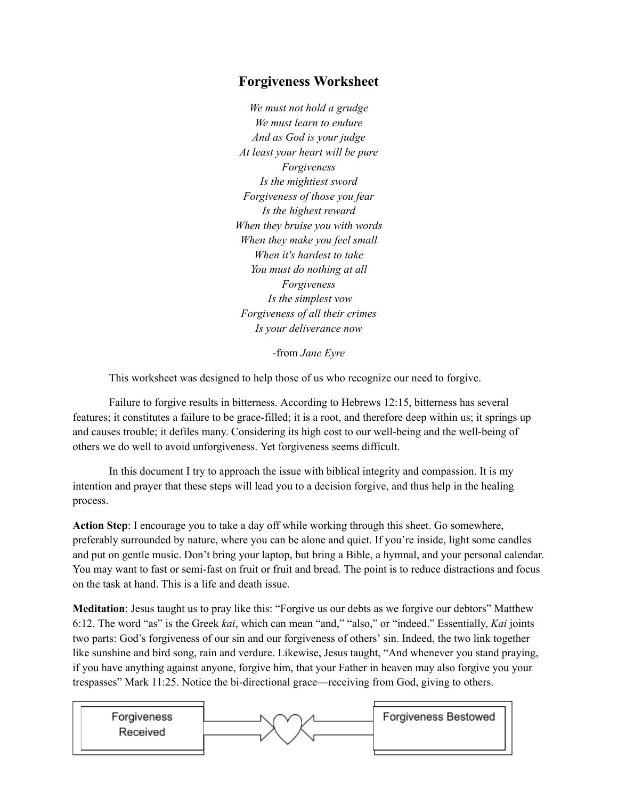## **Forgiveness Worksheet**

*We must not hold a grudge We must learn to endure And as God is your judge At least your heart will be pure Forgiveness Is the mightiest sword Forgiveness of those you fear Is the highest reward When they bruise you with words When they make you feel small When it's hardest to take You must do nothing at all Forgiveness Is the simplest vow Forgiveness of all their crimes Is your deliverance now*

-from *Jane Eyre*

This worksheet was designed to help those of us who recognize our need to forgive.

Failure to forgive results in bitterness. According to Hebrews 12:15, bitterness has several features; it constitutes a failure to be grace-filled; it is a root, and therefore deep within us; it springs up and causes trouble; it defiles many. Considering its high cost to our well-being and the well-being of others we do well to avoid unforgiveness. Yet forgiveness seems difficult.

In this document I try to approach the issue with biblical integrity and compassion. It is my intention and prayer that these steps will lead you to a decision forgive, and thus help in the healing process.

**Action Step**: I encourage you to take a day off while working through this sheet. Go somewhere, preferably surrounded by nature, where you can be alone and quiet. If you're inside, light some candles and put on gentle music. Don't bring your laptop, but bring a Bible, a hymnal, and your personal calendar. You may want to fast or semi-fast on fruit or fruit and bread. The point is to reduce distractions and focus on the task at hand. This is a life and death issue.

**Meditation**: Jesus taught us to pray like this: "Forgive us our debts as we forgive our debtors" Matthew 6:12. The word "as" is the Greek *kai*, which can mean "and," "also," or "indeed." Essentially, *Kai* joints two parts: God's forgiveness of our sin and our forgiveness of others' sin. Indeed, the two link together like sunshine and bird song, rain and verdure. Likewise, Jesus taught, "And whenever you stand praying, if you have anything against anyone, forgive him, that your Father in heaven may also forgive you your trespasses" Mark 11:25. Notice the bi-directional grace—receiving from God, giving to others.

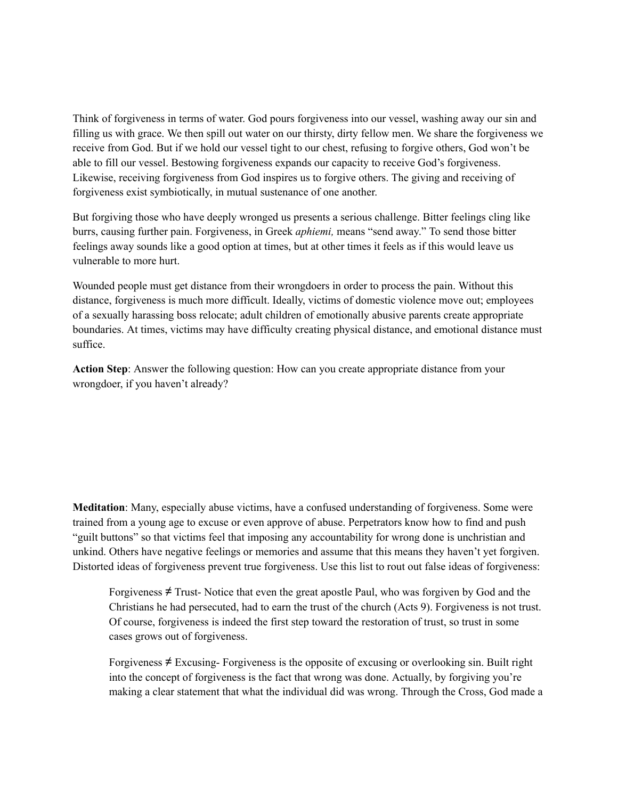Think of forgiveness in terms of water. God pours forgiveness into our vessel, washing away our sin and filling us with grace. We then spill out water on our thirsty, dirty fellow men. We share the forgiveness we receive from God. But if we hold our vessel tight to our chest, refusing to forgive others, God won't be able to fill our vessel. Bestowing forgiveness expands our capacity to receive God's forgiveness. Likewise, receiving forgiveness from God inspires us to forgive others. The giving and receiving of forgiveness exist symbiotically, in mutual sustenance of one another.

But forgiving those who have deeply wronged us presents a serious challenge. Bitter feelings cling like burrs, causing further pain. Forgiveness, in Greek *aphiemi,* means "send away." To send those bitter feelings away sounds like a good option at times, but at other times it feels as if this would leave us vulnerable to more hurt.

Wounded people must get distance from their wrongdoers in order to process the pain. Without this distance, forgiveness is much more difficult. Ideally, victims of domestic violence move out; employees of a sexually harassing boss relocate; adult children of emotionally abusive parents create appropriate boundaries. At times, victims may have difficulty creating physical distance, and emotional distance must suffice.

**Action Step**: Answer the following question: How can you create appropriate distance from your wrongdoer, if you haven't already?

**Meditation**: Many, especially abuse victims, have a confused understanding of forgiveness. Some were trained from a young age to excuse or even approve of abuse. Perpetrators know how to find and push "guilt buttons" so that victims feel that imposing any accountability for wrong done is unchristian and unkind. Others have negative feelings or memories and assume that this means they haven't yet forgiven. Distorted ideas of forgiveness prevent true forgiveness. Use this list to rout out false ideas of forgiveness:

Forgiveness  $\neq$  Trust-Notice that even the great apostle Paul, who was forgiven by God and the Christians he had persecuted, had to earn the trust of the church (Acts 9). Forgiveness is not trust. Of course, forgiveness is indeed the first step toward the restoration of trust, so trust in some cases grows out of forgiveness.

Forgiveness  $\neq$  Excusing-Forgiveness is the opposite of excusing or overlooking sin. Built right into the concept of forgiveness is the fact that wrong was done. Actually, by forgiving you're making a clear statement that what the individual did was wrong. Through the Cross, God made a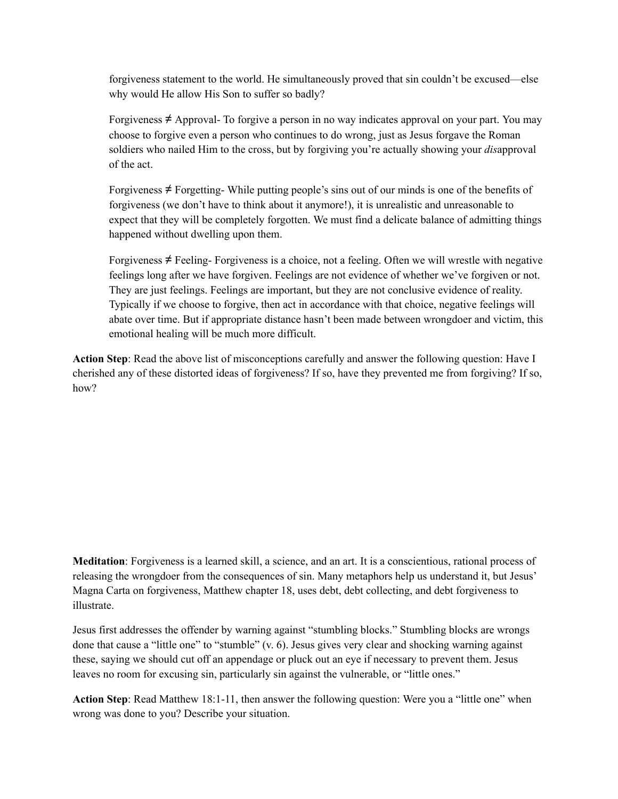forgiveness statement to the world. He simultaneously proved that sin couldn't be excused—else why would He allow His Son to suffer so badly?

Forgiveness ≠ Approval- To forgive a person in no way indicates approval on your part. You may choose to forgive even a person who continues to do wrong, just as Jesus forgave the Roman soldiers who nailed Him to the cross, but by forgiving you're actually showing your *dis*approval of the act.

Forgiveness ≠ Forgetting- While putting people's sins out of our minds is one of the benefits of forgiveness (we don't have to think about it anymore!), it is unrealistic and unreasonable to expect that they will be completely forgotten. We must find a delicate balance of admitting things happened without dwelling upon them.

Forgiveness  $\neq$  Feeling- Forgiveness is a choice, not a feeling. Often we will wrestle with negative feelings long after we have forgiven. Feelings are not evidence of whether we've forgiven or not. They are just feelings. Feelings are important, but they are not conclusive evidence of reality. Typically if we choose to forgive, then act in accordance with that choice, negative feelings will abate over time. But if appropriate distance hasn't been made between wrongdoer and victim, this emotional healing will be much more difficult.

**Action Step**: Read the above list of misconceptions carefully and answer the following question: Have I cherished any of these distorted ideas of forgiveness? If so, have they prevented me from forgiving? If so, how?

**Meditation**: Forgiveness is a learned skill, a science, and an art. It is a conscientious, rational process of releasing the wrongdoer from the consequences of sin. Many metaphors help us understand it, but Jesus' Magna Carta on forgiveness, Matthew chapter 18, uses debt, debt collecting, and debt forgiveness to illustrate.

Jesus first addresses the offender by warning against "stumbling blocks." Stumbling blocks are wrongs done that cause a "little one" to "stumble" (v. 6). Jesus gives very clear and shocking warning against these, saying we should cut off an appendage or pluck out an eye if necessary to prevent them. Jesus leaves no room for excusing sin, particularly sin against the vulnerable, or "little ones."

**Action Step**: Read Matthew 18:1-11, then answer the following question: Were you a "little one" when wrong was done to you? Describe your situation.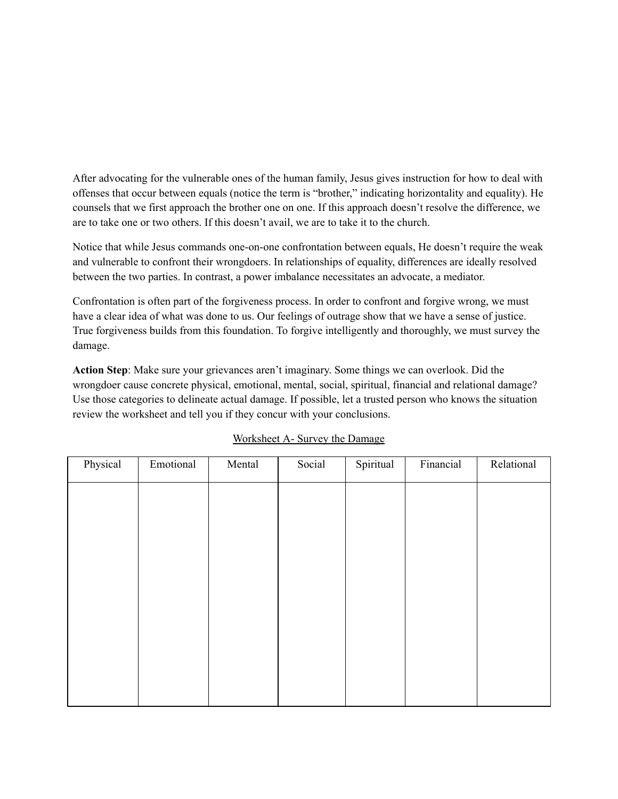After advocating for the vulnerable ones of the human family, Jesus gives instruction for how to deal with offenses that occur between equals (notice the term is "brother," indicating horizontality and equality). He counsels that we first approach the brother one on one. If this approach doesn't resolve the difference, we are to take one or two others. If this doesn't avail, we are to take it to the church.

Notice that while Jesus commands one-on-one confrontation between equals, He doesn't require the weak and vulnerable to confront their wrongdoers. In relationships of equality, differences are ideally resolved between the two parties. In contrast, a power imbalance necessitates an advocate, a mediator.

Confrontation is often part of the forgiveness process. In order to confront and forgive wrong, we must have a clear idea of what was done to us. Our feelings of outrage show that we have a sense of justice. True forgiveness builds from this foundation. To forgive intelligently and thoroughly, we must survey the damage.

**Action Step**: Make sure your grievances aren't imaginary. Some things we can overlook. Did the wrongdoer cause concrete physical, emotional, mental, social, spiritual, financial and relational damage? Use those categories to delineate actual damage. If possible, let a trusted person who knows the situation review the worksheet and tell you if they concur with your conclusions.

| Physical | Emotional | Mental | Social | Spiritual | Financial | Relational |
|----------|-----------|--------|--------|-----------|-----------|------------|
|          |           |        |        |           |           |            |
|          |           |        |        |           |           |            |
|          |           |        |        |           |           |            |
|          |           |        |        |           |           |            |
|          |           |        |        |           |           |            |
|          |           |        |        |           |           |            |
|          |           |        |        |           |           |            |
|          |           |        |        |           |           |            |
|          |           |        |        |           |           |            |
|          |           |        |        |           |           |            |

#### Worksheet A- Survey the Damage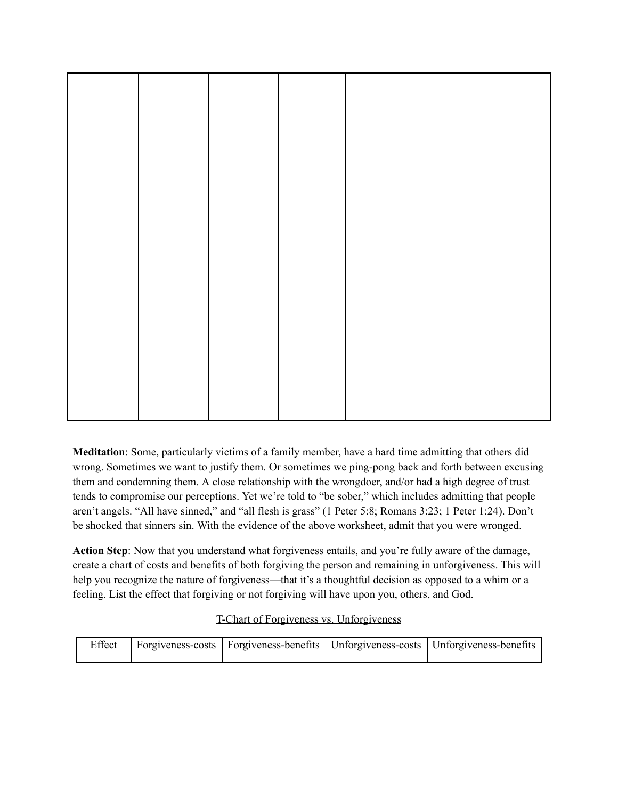**Meditation**: Some, particularly victims of a family member, have a hard time admitting that others did wrong. Sometimes we want to justify them. Or sometimes we ping-pong back and forth between excusing them and condemning them. A close relationship with the wrongdoer, and/or had a high degree of trust tends to compromise our perceptions. Yet we're told to "be sober," which includes admitting that people aren't angels. "All have sinned," and "all flesh is grass" (1 Peter 5:8; Romans 3:23; 1 Peter 1:24). Don't be shocked that sinners sin. With the evidence of the above worksheet, admit that you were wronged.

**Action Step**: Now that you understand what forgiveness entails, and you're fully aware of the damage, create a chart of costs and benefits of both forgiving the person and remaining in unforgiveness. This will help you recognize the nature of forgiveness—that it's a thoughtful decision as opposed to a whim or a feeling. List the effect that forgiving or not forgiving will have upon you, others, and God.

### T-Chart of Forgiveness vs. Unforgiveness

|  |  | Effect   Forgiveness-costs   Forgiveness-benefits   Unforgiveness-costs   Unforgiveness-benefits |
|--|--|--------------------------------------------------------------------------------------------------|
|  |  |                                                                                                  |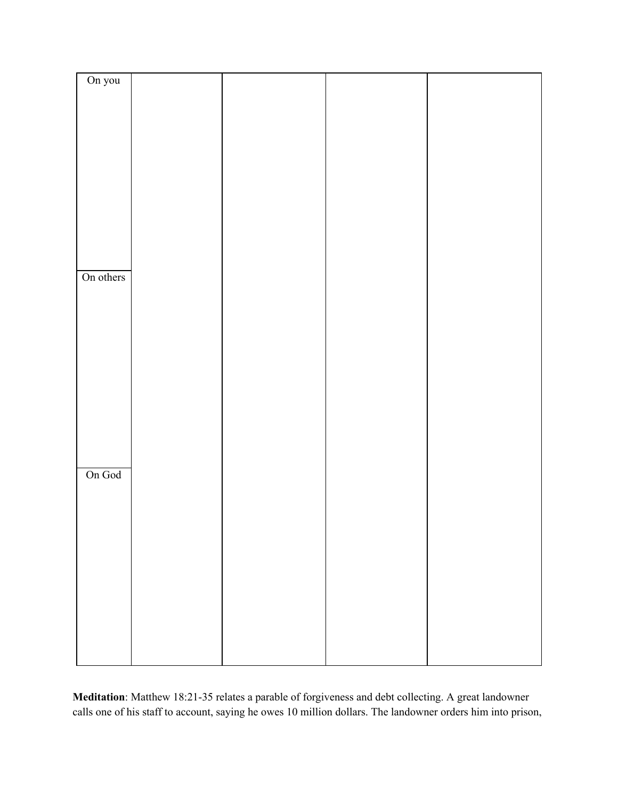| On you    |  |  |
|-----------|--|--|
|           |  |  |
|           |  |  |
|           |  |  |
|           |  |  |
|           |  |  |
|           |  |  |
|           |  |  |
|           |  |  |
|           |  |  |
|           |  |  |
|           |  |  |
|           |  |  |
|           |  |  |
|           |  |  |
|           |  |  |
|           |  |  |
|           |  |  |
|           |  |  |
|           |  |  |
|           |  |  |
|           |  |  |
|           |  |  |
|           |  |  |
|           |  |  |
|           |  |  |
|           |  |  |
|           |  |  |
|           |  |  |
|           |  |  |
|           |  |  |
|           |  |  |
|           |  |  |
| On others |  |  |
|           |  |  |
|           |  |  |
|           |  |  |
|           |  |  |
|           |  |  |
|           |  |  |
|           |  |  |
|           |  |  |
|           |  |  |
|           |  |  |
|           |  |  |
|           |  |  |
|           |  |  |
|           |  |  |
|           |  |  |
|           |  |  |
|           |  |  |
|           |  |  |
|           |  |  |
|           |  |  |
|           |  |  |
|           |  |  |
|           |  |  |
|           |  |  |
|           |  |  |
|           |  |  |
|           |  |  |
|           |  |  |
|           |  |  |
|           |  |  |
| On God    |  |  |
|           |  |  |
|           |  |  |
|           |  |  |
|           |  |  |
|           |  |  |
|           |  |  |
|           |  |  |
|           |  |  |
|           |  |  |
|           |  |  |
|           |  |  |
|           |  |  |
|           |  |  |
|           |  |  |
|           |  |  |
|           |  |  |
|           |  |  |
|           |  |  |
|           |  |  |
|           |  |  |
|           |  |  |
|           |  |  |
|           |  |  |
|           |  |  |
|           |  |  |
|           |  |  |
|           |  |  |
|           |  |  |
|           |  |  |
|           |  |  |

**Meditation**: Matthew 18:21-35 relates a parable of forgiveness and debt collecting. A great landowner calls one of his staff to account, saying he owes 10 million dollars. The landowner orders him into prison,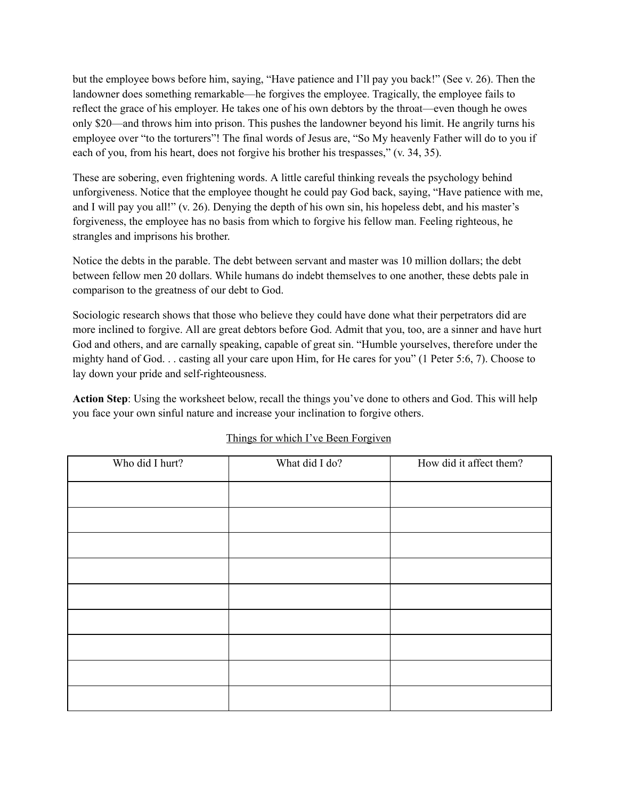but the employee bows before him, saying, "Have patience and I'll pay you back!" (See v. 26). Then the landowner does something remarkable—he forgives the employee. Tragically, the employee fails to reflect the grace of his employer. He takes one of his own debtors by the throat—even though he owes only \$20—and throws him into prison. This pushes the landowner beyond his limit. He angrily turns his employee over "to the torturers"! The final words of Jesus are, "So My heavenly Father will do to you if each of you, from his heart, does not forgive his brother his trespasses," (v. 34, 35).

These are sobering, even frightening words. A little careful thinking reveals the psychology behind unforgiveness. Notice that the employee thought he could pay God back, saying, "Have patience with me, and I will pay you all!" (v. 26). Denying the depth of his own sin, his hopeless debt, and his master's forgiveness, the employee has no basis from which to forgive his fellow man. Feeling righteous, he strangles and imprisons his brother.

Notice the debts in the parable. The debt between servant and master was 10 million dollars; the debt between fellow men 20 dollars. While humans do indebt themselves to one another, these debts pale in comparison to the greatness of our debt to God.

Sociologic research shows that those who believe they could have done what their perpetrators did are more inclined to forgive. All are great debtors before God. Admit that you, too, are a sinner and have hurt God and others, and are carnally speaking, capable of great sin. "Humble yourselves, therefore under the mighty hand of God. . . casting all your care upon Him, for He cares for you" (1 Peter 5:6, 7). Choose to lay down your pride and self-righteousness.

**Action Step**: Using the worksheet below, recall the things you've done to others and God. This will help you face your own sinful nature and increase your inclination to forgive others.

| Who did I hurt? | What did I do? | How did it affect them? |
|-----------------|----------------|-------------------------|
|                 |                |                         |
|                 |                |                         |
|                 |                |                         |
|                 |                |                         |
|                 |                |                         |
|                 |                |                         |
|                 |                |                         |
|                 |                |                         |
|                 |                |                         |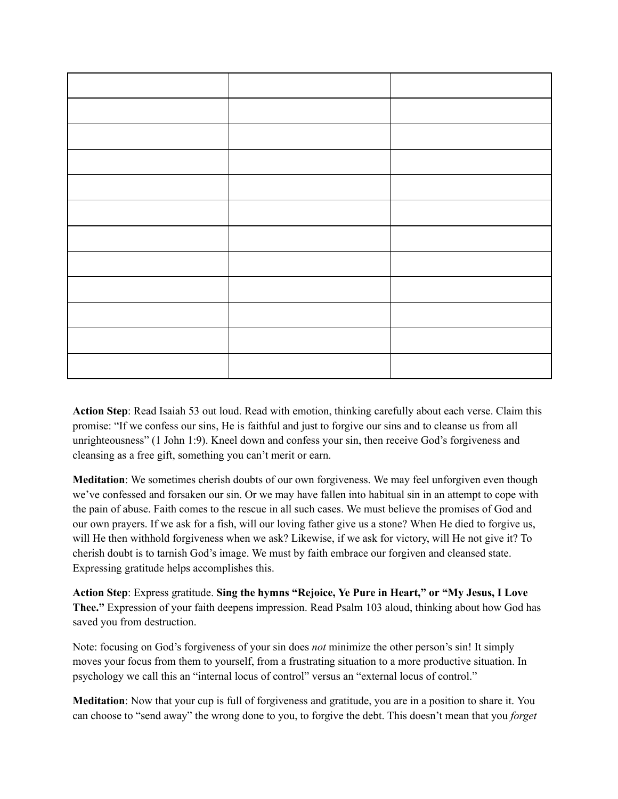**Action Step**: Read Isaiah 53 out loud. Read with emotion, thinking carefully about each verse. Claim this promise: "If we confess our sins, He is faithful and just to forgive our sins and to cleanse us from all unrighteousness" (1 John 1:9). Kneel down and confess your sin, then receive God's forgiveness and cleansing as a free gift, something you can't merit or earn.

**Meditation**: We sometimes cherish doubts of our own forgiveness. We may feel unforgiven even though we've confessed and forsaken our sin. Or we may have fallen into habitual sin in an attempt to cope with the pain of abuse. Faith comes to the rescue in all such cases. We must believe the promises of God and our own prayers. If we ask for a fish, will our loving father give us a stone? When He died to forgive us, will He then withhold forgiveness when we ask? Likewise, if we ask for victory, will He not give it? To cherish doubt is to tarnish God's image. We must by faith embrace our forgiven and cleansed state. Expressing gratitude helps accomplishes this.

**Action Step**: Express gratitude. **Sing the hymns "Rejoice, Ye Pure in Heart," or "My Jesus, I Love Thee."** Expression of your faith deepens impression. Read Psalm 103 aloud, thinking about how God has saved you from destruction.

Note: focusing on God's forgiveness of your sin does *not* minimize the other person's sin! It simply moves your focus from them to yourself, from a frustrating situation to a more productive situation. In psychology we call this an "internal locus of control" versus an "external locus of control."

**Meditation**: Now that your cup is full of forgiveness and gratitude, you are in a position to share it. You can choose to "send away" the wrong done to you, to forgive the debt. This doesn't mean that you *forget*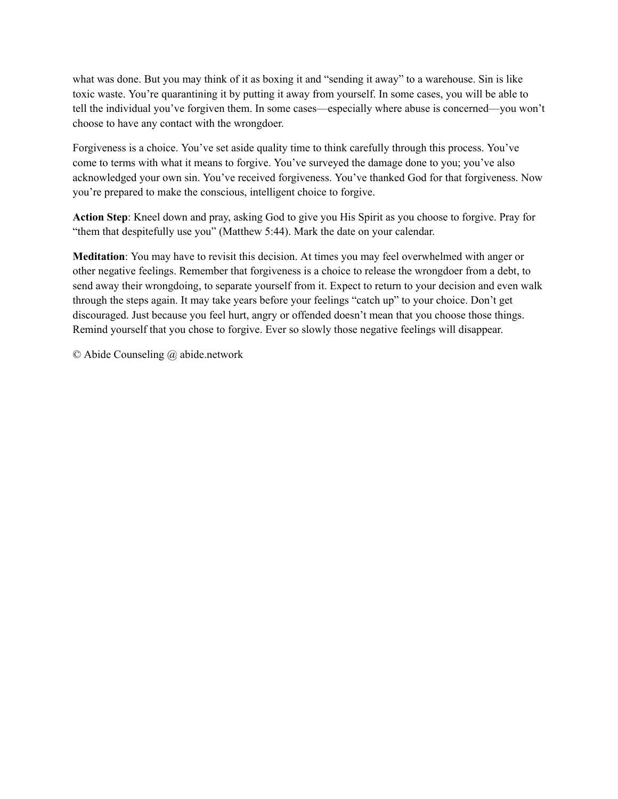what was done. But you may think of it as boxing it and "sending it away" to a warehouse. Sin is like toxic waste. You're quarantining it by putting it away from yourself. In some cases, you will be able to tell the individual you've forgiven them. In some cases—especially where abuse is concerned—you won't choose to have any contact with the wrongdoer.

Forgiveness is a choice. You've set aside quality time to think carefully through this process. You've come to terms with what it means to forgive. You've surveyed the damage done to you; you've also acknowledged your own sin. You've received forgiveness. You've thanked God for that forgiveness. Now you're prepared to make the conscious, intelligent choice to forgive.

**Action Step**: Kneel down and pray, asking God to give you His Spirit as you choose to forgive. Pray for "them that despitefully use you" (Matthew 5:44). Mark the date on your calendar.

**Meditation**: You may have to revisit this decision. At times you may feel overwhelmed with anger or other negative feelings. Remember that forgiveness is a choice to release the wrongdoer from a debt, to send away their wrongdoing, to separate yourself from it. Expect to return to your decision and even walk through the steps again. It may take years before your feelings "catch up" to your choice. Don't get discouraged. Just because you feel hurt, angry or offended doesn't mean that you choose those things. Remind yourself that you chose to forgive. Ever so slowly those negative feelings will disappear.

© Abide Counseling @ abide.network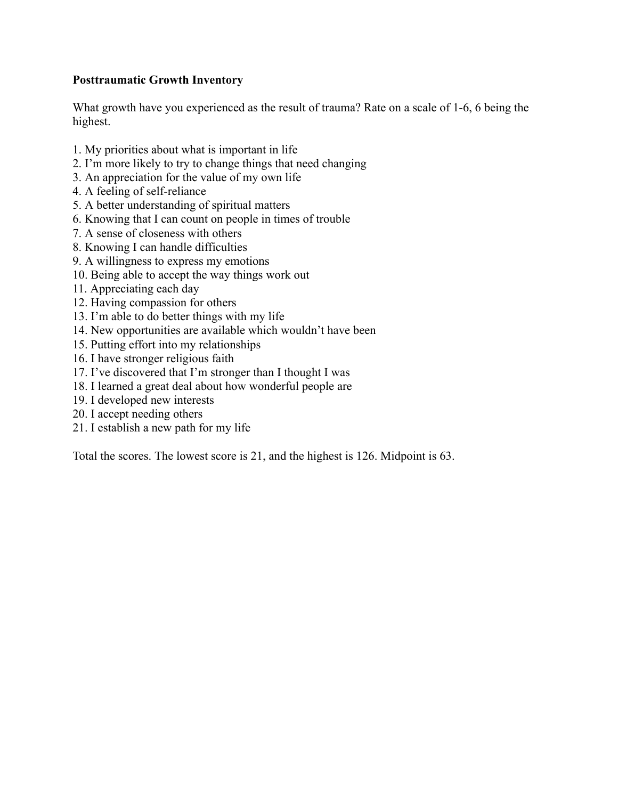### **Posttraumatic Growth Inventory**

What growth have you experienced as the result of trauma? Rate on a scale of 1-6, 6 being the highest.

- 1. My priorities about what is important in life
- 2. I'm more likely to try to change things that need changing
- 3. An appreciation for the value of my own life
- 4. A feeling of self-reliance
- 5. A better understanding of spiritual matters
- 6. Knowing that I can count on people in times of trouble
- 7. A sense of closeness with others
- 8. Knowing I can handle difficulties
- 9. A willingness to express my emotions
- 10. Being able to accept the way things work out
- 11. Appreciating each day
- 12. Having compassion for others
- 13. I'm able to do better things with my life
- 14. New opportunities are available which wouldn't have been
- 15. Putting effort into my relationships
- 16. I have stronger religious faith
- 17. I've discovered that I'm stronger than I thought I was
- 18. I learned a great deal about how wonderful people are
- 19. I developed new interests
- 20. I accept needing others
- 21. I establish a new path for my life

Total the scores. The lowest score is 21, and the highest is 126. Midpoint is 63.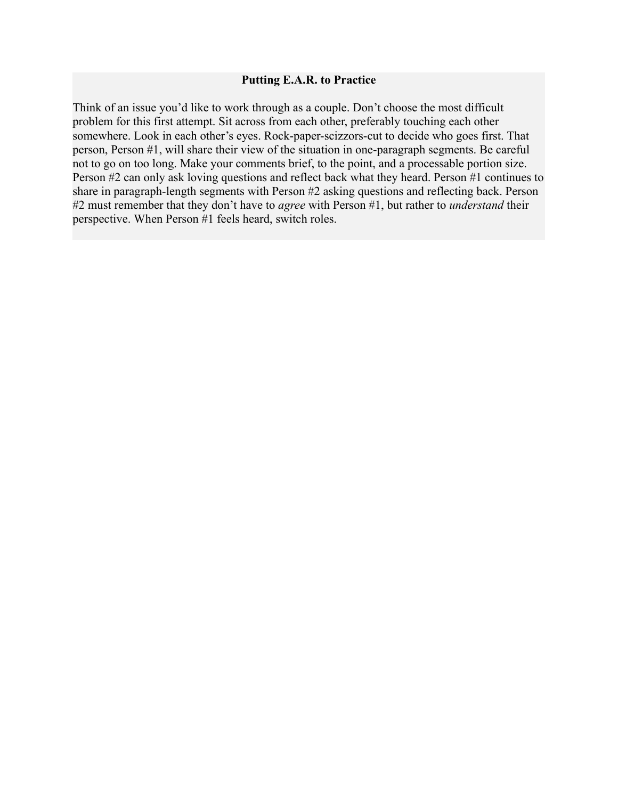#### **Putting E.A.R. to Practice**

Think of an issue you'd like to work through as a couple. Don't choose the most difficult problem for this first attempt. Sit across from each other, preferably touching each other somewhere. Look in each other's eyes. Rock-paper-scizzors-cut to decide who goes first. That person, Person #1, will share their view of the situation in one-paragraph segments. Be careful not to go on too long. Make your comments brief, to the point, and a processable portion size. Person #2 can only ask loving questions and reflect back what they heard. Person #1 continues to share in paragraph-length segments with Person #2 asking questions and reflecting back. Person #2 must remember that they don't have to *agree* with Person #1, but rather to *understand* their perspective. When Person #1 feels heard, switch roles.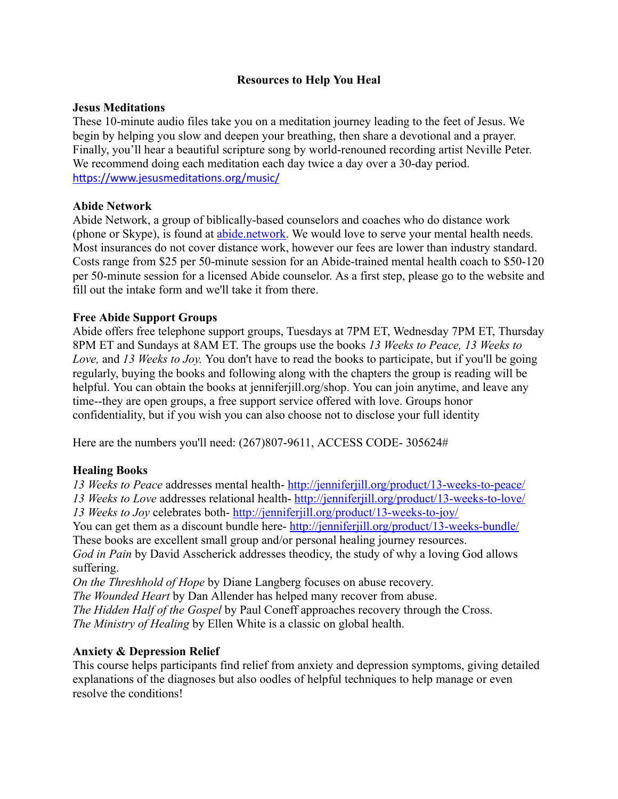### **Resources to Help You Heal**

### **Jesus Meditations**

These 10-minute audio files take you on a meditation journey leading to the feet of Jesus. We begin by helping you slow and deepen your breathing, then share a devotional and a prayer. Finally, you'll hear a beautiful scripture song by world-renouned recording artist Neville Peter. We recommend doing each meditation each day twice a day over a 30-day period. https://www.jesusmeditations.org/music/

### **Abide Network**

Abide Network, a group of biblically-based counselors and coaches who do distance work (phone or Skype), is found at [abide.network.](http://abide.network/) We would love to serve your mental health needs. Most insurances do not cover distance work, however our fees are lower than industry standard. Costs range from \$25 per 50-minute session for an Abide-trained mental health coach to \$50-120 per 50-minute session for a licensed Abide counselor. As a first step, please go to the website and fill out the intake form and we'll take it from there.

### **Free Abide Support Groups**

Abide offers free telephone support groups, Tuesdays at 7PM ET, Wednesday 7PM ET, Thursday 8PM ET and Sundays at 8AM ET. The groups use the books *13 Weeks to Peace, 13 Weeks to Love,* and *13 Weeks to Joy.* You don't have to read the books to participate, but if you'll be going regularly, buying the books and following along with the chapters the group is reading will be helpful. You can obtain the books at jenniferjill.org/shop. You can join anytime, and leave any time--they are open groups, a free support service offered with love. Groups honor confidentiality, but if you wish you can also choose not to disclose your full identity

Here are the numbers you'll need: (267)807-9611, ACCESS CODE- 305624#

### **Healing Books**

*13 Weeks to Peace* addresses mental health- <http://jenniferjill.org/product/13-weeks-to-peace/> *13 Weeks to Love* addresses relational health- <http://jenniferjill.org/product/13-weeks-to-love/> *13 Weeks to Joy* celebrates both- <http://jenniferjill.org/product/13-weeks-to-joy/>

You can get them as a discount bundle here- <http://jenniferjill.org/product/13-weeks-bundle/> These books are excellent small group and/or personal healing journey resources.

*God in Pain* by David Asscherick addresses theodicy, the study of why a loving God allows suffering.

*On the Threshhold of Hope* by Diane Langberg focuses on abuse recovery.

*The Wounded Heart* by Dan Allender has helped many recover from abuse.

*The Hidden Half of the Gospel* by Paul Coneff approaches recovery through the Cross. *The Ministry of Healing* by Ellen White is a classic on global health.

### **Anxiety & Depression Relief**

This course helps participants find relief from anxiety and depression symptoms, giving detailed explanations of the diagnoses but also oodles of helpful techniques to help manage or even resolve the conditions!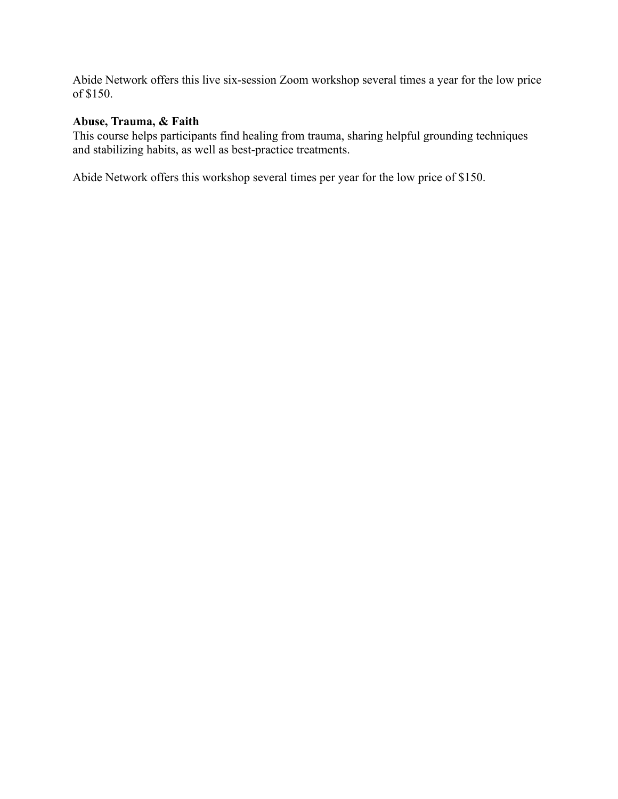Abide Network offers this live six-session Zoom workshop several times a year for the low price of \$150.

### **Abuse, Trauma, & Faith**

This course helps participants find healing from trauma, sharing helpful grounding techniques and stabilizing habits, as well as best-practice treatments.

Abide Network offers this workshop several times per year for the low price of \$150.